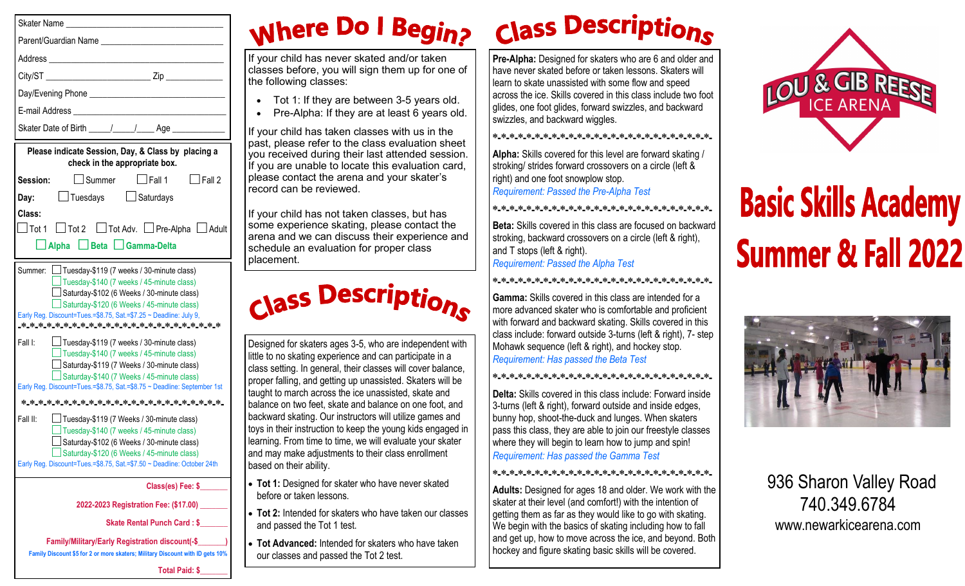|                   | Parent/Guardian Name <b>Example 2018</b>                                                                                                                                                                                                                                |
|-------------------|-------------------------------------------------------------------------------------------------------------------------------------------------------------------------------------------------------------------------------------------------------------------------|
|                   |                                                                                                                                                                                                                                                                         |
|                   |                                                                                                                                                                                                                                                                         |
|                   |                                                                                                                                                                                                                                                                         |
|                   |                                                                                                                                                                                                                                                                         |
|                   | Skater Date of Birth _____/_____/_____Age _____________                                                                                                                                                                                                                 |
|                   | Please indicate Session, Day, & Class by placing a<br>check in the appropriate box.                                                                                                                                                                                     |
| Session:          | $\Box$ Fall 2<br>$\Box$ Summer<br>$\Box$ Fall 1                                                                                                                                                                                                                         |
| Day:              | □ Tuesdays □ Saturdays                                                                                                                                                                                                                                                  |
|                   |                                                                                                                                                                                                                                                                         |
|                   | $\Box$ Tot 1 $\Box$ Tot 2 $\Box$ Tot Adv. $\Box$ Pre-Alpha $\Box$ Adult<br>□ Alpha □ Beta □ Gamma-Delta                                                                                                                                                                 |
|                   | Summer: <u></u> Πuesday-\$119 (7 weeks / 30-minute class)<br>Tuesday-\$140 (7 weeks / 45-minute class)<br>Saturday-\$102 (6 Weeks / 30-minute class)<br>Saturday-\$120 (6 Weeks / 45-minute class)<br>Early Reg. Discount=Tues.=\$8.75, Sat.=\$7.25 ~ Deadline: July 9, |
| Class:<br>Fall I: | $\Box$ Tuesday-\$119 (7 weeks / 30-minute class)<br>$\Box$ Tuesday-\$140 (7 weeks / 45-minute class)<br>Saturday-\$119 (7 Weeks / 30-minute class)<br>Saturday-\$140 (7 Weeks / 45-minute class)                                                                        |
|                   | Early Reg. Discount=Tues.=\$8.75, Sat.=\$8.75 ~ Deadline: September 1st                                                                                                                                                                                                 |
|                   |                                                                                                                                                                                                                                                                         |

**Class(es) Fee: \$\_\_\_\_\_\_\_**

**2022-2023 Registration Fee: (\$17.00) \_\_\_\_\_\_\_**

**Skate Rental Punch Card: \$** 

**Family/Military/Early Registration discount(-\$\_\_\_\_\_\_\_) Family Discount \$5 for 2 or more skaters; Military Discount with ID gets 10%**

Early Reg. Discount=Tues.=\$8.75, Sat.=\$7.50 ~ Deadline: October 24th

#### **Total Paid: \$\_\_\_\_\_\_\_**

# **Nhere Do I Begins**

vour child has never skated and/or taken asses before, you will sign them up for one of e following classes:

- Tot 1: If they are between 3-5 years old.
- Pre-Alpha: If they are at least 6 years old.

your child has taken classes with us in the ast, please refer to the class evaluation sheet ou received during their last attended session. you are unable to locate this evaluation card, ease contact the arena and your skater's record can be reviewed.

vour child has not taken classes, but has ome experience skating, please contact the rena and we can discuss their experience and chedule an evaluation for proper class acement.

**Class Descriptions** 

esigned for skaters ages 3-5, who are independent with le to no skating experience and can participate in a ass setting. In general, their classes will cover balance, oper falling, and getting up unassisted. Skaters will be ught to march across the ice unassisted, skate and llance on two feet, skate and balance on one foot, and ackward skating. Our instructors will utilize games and ys in their instruction to keep the young kids engaged in arning. From time to time, we will evaluate your skater and may make adjustments to their class enrollment based on their ability.

- **Tot 1:** Designed for skater who have never skated before or taken lessons.
- **Tot 2:** Intended for skaters who have taken our classes and passed the Tot 1 test.
- **Tot Advanced:** Intended for skaters who have taken our classes and passed the Tot 2 test.

# **Class Descriptions**

**Pre-Alpha:** Designed for skaters who are 6 and older and have never skated before or taken lessons. Skaters will learn to skate unassisted with some flow and speed across the ice. Skills covered in this class include two foot glides, one foot glides, forward swizzles, and backward swizzles, and backward wiggles.

**\*-\*-\*-\*-\*-\*-\*-\*-\*-\*-\*-\*-\*-\*-\*-\*-\*-\*-\*-\*-\*-\*-\*-\*-\*-\*-**

**Alpha:** Skills covered for this level are forward skating / stroking/ strides forward crossovers on a circle (left & right) and one foot snowplow stop. *Requirement: Passed the Pre-Alpha Test*

**\*-\*-\*-\*-\*-\*-\*-\*-\*-\*-\*-\*-\*-\*-\*-\*-\*-\*-\*-\*-\*-\*-\*-\*-\*-\*-**

**Beta:** Skills covered in this class are focused on backward stroking, backward crossovers on a circle (left & right), and T stops (left & right). *Requirement: Passed the Alpha Test*

### **\*-\*-\*-\*-\*-\*-\*-\*-\*-\*-\*-\*-\*-\*-\*-\*-\*-\*-\*-\*-\*-\*-\*-\*-\*-\*-**

**Gamma:** Skills covered in this class are intended for a more advanced skater who is comfortable and proficient with forward and backward skating. Skills covered in this class include: forward outside 3-turns (left & right), 7- step Mohawk sequence (left & right), and hockey stop. *Requirement: Has passed the Beta Test*

### **\*-\*-\*-\*-\*-\*-\*-\*-\*-\*-\*-\*-\*-\*-\*-\*-\*-\*-\*-\*-\*-\*-\*-\*-\*-\*-**

**Delta:** Skills covered in this class include: Forward inside 3-turns (left & right), forward outside and inside edges, bunny hop, shoot-the-duck and lunges. When skaters pass this class, they are able to join our freestyle classes where they will begin to learn how to jump and spin! *Requirement: Has passed the Gamma Test*

### **\*-\*-\*-\*-\*-\*-\*-\*-\*-\*-\*-\*-\*-\*-\*-\*-\*-\*-\*-\*-\*-\*-\*-\*-\*-\*-**

**Adults:** Designed for ages 18 and older. We work with the skater at their level (and comfort!) with the intention of getting them as far as they would like to go with skating. We begin with the basics of skating including how to fall and get up, how to move across the ice, and beyond. Both hockey and figure skating basic skills will be covered.



# **Basic Skills Academy Summer & Fall 2022**



 936 Sharon Valley Road 740.349.6784 www.newarkicearena.com